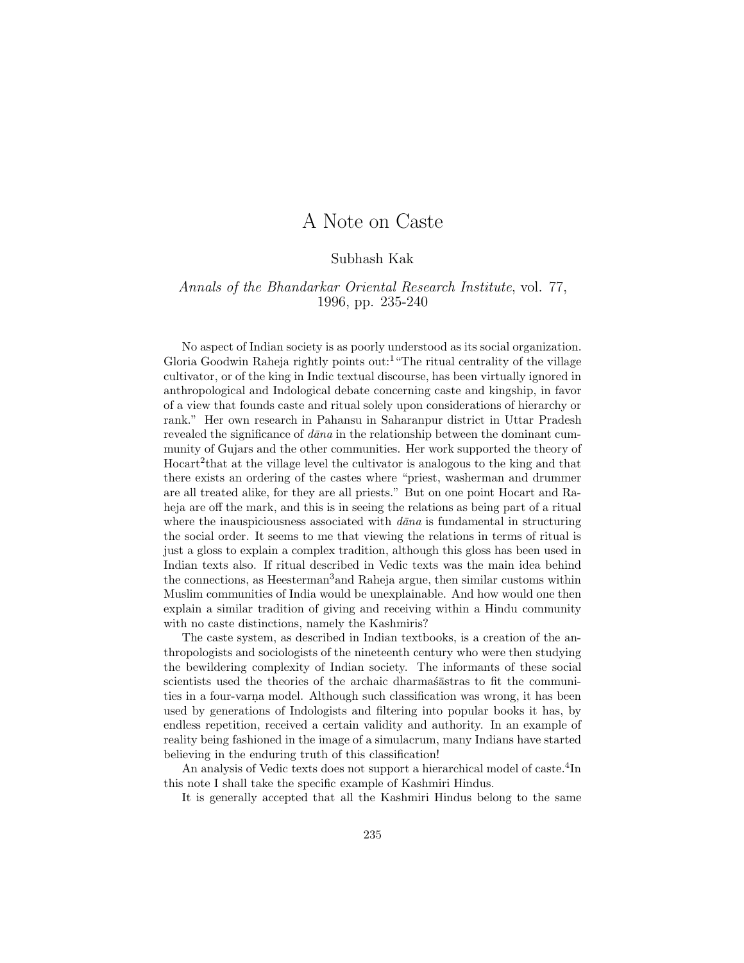## A Note on Caste

## Subhash Kak

## Annals of the Bhandarkar Oriental Research Institute, vol. 77, 1996, pp. 235-240

No aspect of Indian society is as poorly understood as its social organization. Gloria Goodwin Raheja rightly points out:<sup>1</sup>"The ritual centrality of the village cultivator, or of the king in Indic textual discourse, has been virtually ignored in anthropological and Indological debate concerning caste and kingship, in favor of a view that founds caste and ritual solely upon considerations of hierarchy or rank." Her own research in Pahansu in Saharanpur district in Uttar Pradesh revealed the significance of  $dāna$  in the relationship between the dominant cummunity of Gujars and the other communities. Her work supported the theory of Hocart<sup>2</sup>that at the village level the cultivator is analogous to the king and that there exists an ordering of the castes where "priest, washerman and drummer are all treated alike, for they are all priests." But on one point Hocart and Raheja are off the mark, and this is in seeing the relations as being part of a ritual where the inauspiciousness associated with  $d\bar{a}na$  is fundamental in structuring the social order. It seems to me that viewing the relations in terms of ritual is just a gloss to explain a complex tradition, although this gloss has been used in Indian texts also. If ritual described in Vedic texts was the main idea behind the connections, as Heesterman<sup>3</sup>and Raheja argue, then similar customs within Muslim communities of India would be unexplainable. And how would one then explain a similar tradition of giving and receiving within a Hindu community with no caste distinctions, namely the Kashmiris?

The caste system, as described in Indian textbooks, is a creation of the anthropologists and sociologists of the nineteenth century who were then studying the bewildering complexity of Indian society. The informants of these social scientists used the theories of the archaic dharmasastras to fit the communities in a four-varna model. Although such classification was wrong, it has been used by generations of Indologists and filtering into popular books it has, by endless repetition, received a certain validity and authority. In an example of reality being fashioned in the image of a simulacrum, many Indians have started believing in the enduring truth of this classification!

An analysis of Vedic texts does not support a hierarchical model of caste.<sup>4</sup>In this note I shall take the specific example of Kashmiri Hindus.

It is generally accepted that all the Kashmiri Hindus belong to the same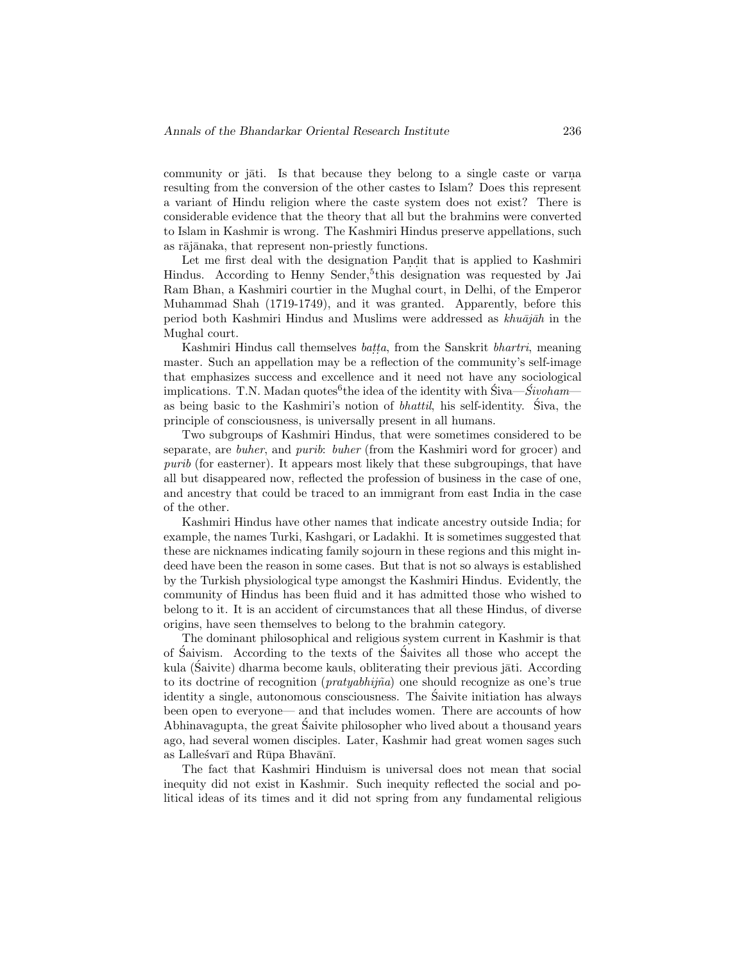community or jati. Is that because they belong to a single caste or varna resulting from the conversion of the other castes to Islam? Does this represent a variant of Hindu religion where the caste system does not exist? There is considerable evidence that the theory that all but the brahmins were converted to Islam in Kashmir is wrong. The Kashmiri Hindus preserve appellations, such as rājānaka, that represent non-priestly functions.

Let me first deal with the designation Pandit that is applied to Kashmiri Hindus. According to Henny Sender,<sup>5</sup>this designation was requested by Jai Ram Bhan, a Kashmiri courtier in the Mughal court, in Delhi, of the Emperor Muhammad Shah (1719-1749), and it was granted. Apparently, before this period both Kashmiri Hindus and Muslims were addressed as  $khu\bar{a}j\bar{a}h$  in the Mughal court.

Kashmiri Hindus call themselves *batta*, from the Sanskrit *bhartri*, meaning master. Such an appellation may be a reflection of the community's self-image that emphasizes success and excellence and it need not have any sociological implications. T.N. Madan quotes<sup>6</sup>the idea of the identity with  $\ddot{S}$ iva— $\dot{S}ivoham$ as being basic to the Kashmiri's notion of bhattil, his self-identity. Siva, the ´ principle of consciousness, is universally present in all humans.

Two subgroups of Kashmiri Hindus, that were sometimes considered to be separate, are buher, and purib: buher (from the Kashmiri word for grocer) and purib (for easterner). It appears most likely that these subgroupings, that have all but disappeared now, reflected the profession of business in the case of one, and ancestry that could be traced to an immigrant from east India in the case of the other.

Kashmiri Hindus have other names that indicate ancestry outside India; for example, the names Turki, Kashgari, or Ladakhi. It is sometimes suggested that these are nicknames indicating family sojourn in these regions and this might indeed have been the reason in some cases. But that is not so always is established by the Turkish physiological type amongst the Kashmiri Hindus. Evidently, the community of Hindus has been fluid and it has admitted those who wished to belong to it. It is an accident of circumstances that all these Hindus, of diverse origins, have seen themselves to belong to the brahmin category.

The dominant philosophical and religious system current in Kashmir is that of Saivism. According to the texts of the Saivites all those who accept the kula (Saivite) dharma become kauls, obliterating their previous jāti. According to its doctrine of recognition  $(pratyabhij\tilde{n}a)$  one should recognize as one's true identity a single, autonomous consciousness. The Saivite initiation has always ´ been open to everyone— and that includes women. There are accounts of how Abhinavagupta, the great Saivite philosopher who lived about a thousand years ´ ago, had several women disciples. Later, Kashmir had great women sages such as Lalleśvarī and Rūpa Bhavānī.

The fact that Kashmiri Hinduism is universal does not mean that social inequity did not exist in Kashmir. Such inequity reflected the social and political ideas of its times and it did not spring from any fundamental religious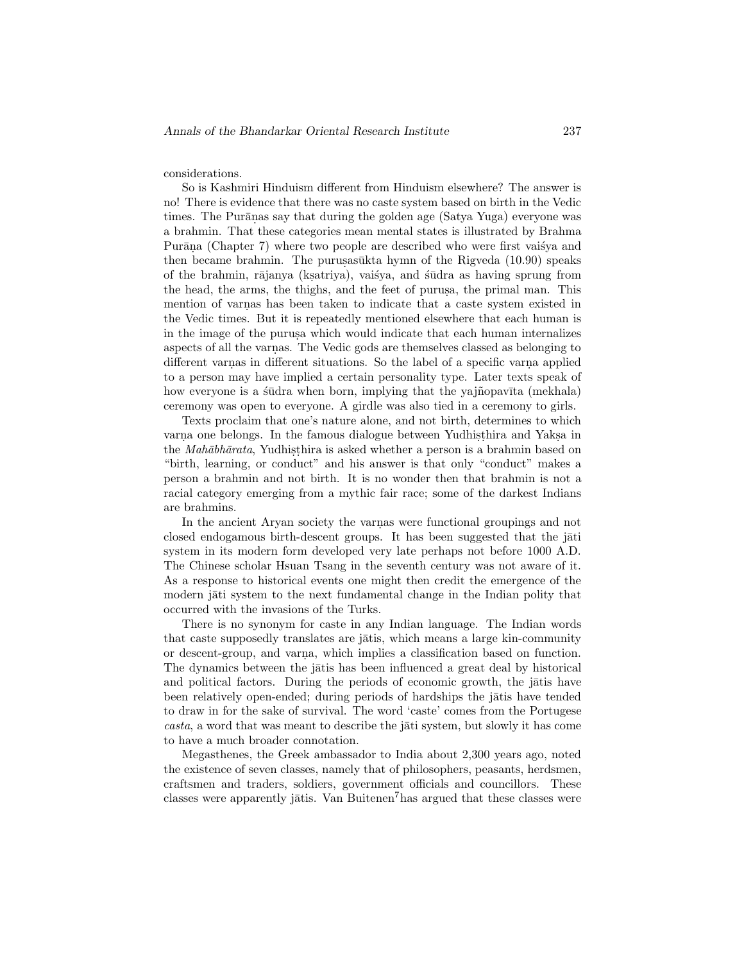considerations.

So is Kashmiri Hinduism different from Hinduism elsewhere? The answer is no! There is evidence that there was no caste system based on birth in the Vedic times. The Purānas say that during the golden age (Satya Yuga) everyone was a brahmin. That these categories mean mental states is illustrated by Brahma Purāņa (Chapter 7) where two people are described who were first vaisya and then became brahmin. The purus as $\bar{u}$ kta hymn of the Rigveda (10.90) speaks of the brahmin, rājanya (ksatriya), vaišya, and sūdra as having sprung from the head, the arms, the thighs, and the feet of purusa, the primal man. This mention of varnas has been taken to indicate that a caste system existed in the Vedic times. But it is repeatedly mentioned elsewhere that each human is in the image of the purus a which would indicate that each human internalizes aspects of all the varnas. The Vedic gods are themselves classed as belonging to different varnas in different situations. So the label of a specific varna applied to a person may have implied a certain personality type. Later texts speak of how everyone is a studra when born, implying that the yajnopavita (mekhala) ceremony was open to everyone. A girdle was also tied in a ceremony to girls.

Texts proclaim that one's nature alone, and not birth, determines to which varna one belongs. In the famous dialogue between Yudhisthira and Yaksa in the *Mahābhārata*, Yudhisthira is asked whether a person is a brahmin based on "birth, learning, or conduct" and his answer is that only "conduct" makes a person a brahmin and not birth. It is no wonder then that brahmin is not a racial category emerging from a mythic fair race; some of the darkest Indians are brahmins.

In the ancient Aryan society the varnas were functional groupings and not closed endogamous birth-descent groups. It has been suggested that the jati system in its modern form developed very late perhaps not before 1000 A.D. The Chinese scholar Hsuan Tsang in the seventh century was not aware of it. As a response to historical events one might then credit the emergence of the modern jāti system to the next fundamental change in the Indian polity that occurred with the invasions of the Turks.

There is no synonym for caste in any Indian language. The Indian words that caste supposedly translates are jatis, which means a large kin-community or descent-group, and varna, which implies a classification based on function. The dynamics between the jatis has been influenced a great deal by historical and political factors. During the periods of economic growth, the jatis have been relatively open-ended; during periods of hardships the jatis have tended to draw in for the sake of survival. The word 'caste' comes from the Portugese  $casta$ , a word that was meant to describe the jati system, but slowly it has come to have a much broader connotation.

Megasthenes, the Greek ambassador to India about 2,300 years ago, noted the existence of seven classes, namely that of philosophers, peasants, herdsmen, craftsmen and traders, soldiers, government officials and councillors. These classes were apparently jatis. Van Buitenen<sup>7</sup>has argued that these classes were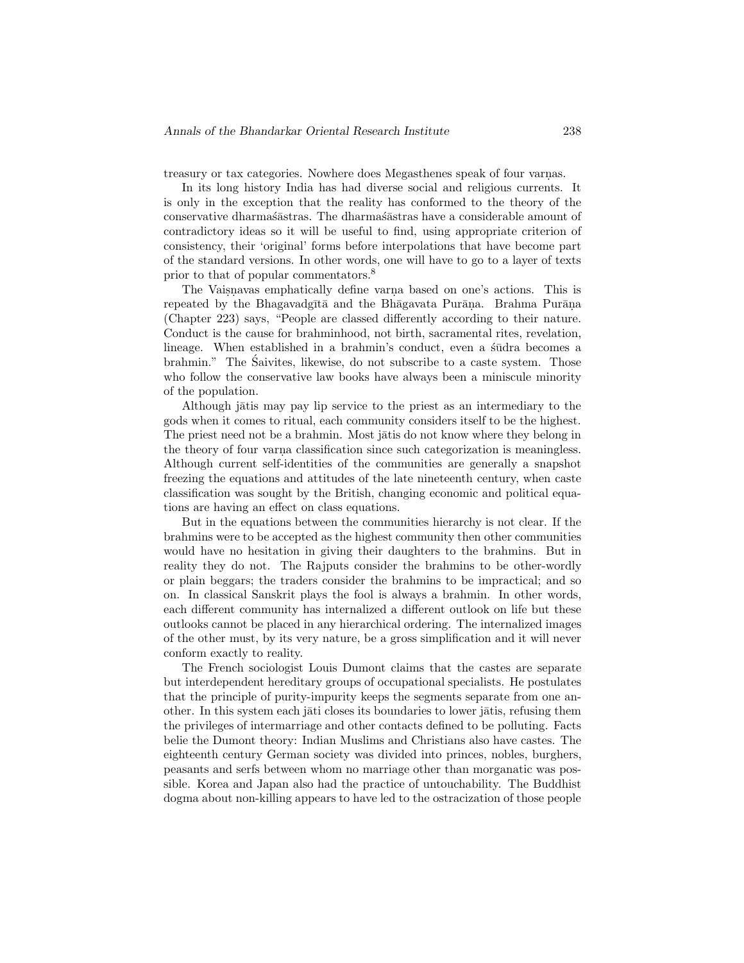treasury or tax categories. Nowhere does Megasthenes speak of four varnas.

In its long history India has had diverse social and religious currents. It is only in the exception that the reality has conformed to the theory of the conservative dharmas $\tilde{\text{a}}$ stras. The dharmas $\tilde{\text{a}}$ stras have a considerable amount of contradictory ideas so it will be useful to find, using appropriate criterion of consistency, their 'original' forms before interpolations that have become part of the standard versions. In other words, one will have to go to a layer of texts prior to that of popular commentators.<sup>8</sup>

The Vaisnavas emphatically define varna based on one's actions. This is repeated by the Bhagavadgītā and the Bhāgavata Purāna. Brahma Purāna (Chapter 223) says, "People are classed differently according to their nature. Conduct is the cause for brahminhood, not birth, sacramental rites, revelation, lineage. When established in a brahmin's conduct, even a studra becomes a brahmin." The Saivites, likewise, do not subscribe to a caste system. Those ´ who follow the conservative law books have always been a miniscule minority of the population.

Although jātis may pay lip service to the priest as an intermediary to the gods when it comes to ritual, each community considers itself to be the highest. The priest need not be a brahmin. Most jātis do not know where they belong in the theory of four varna classification since such categorization is meaningless. Although current self-identities of the communities are generally a snapshot freezing the equations and attitudes of the late nineteenth century, when caste classification was sought by the British, changing economic and political equations are having an effect on class equations.

But in the equations between the communities hierarchy is not clear. If the brahmins were to be accepted as the highest community then other communities would have no hesitation in giving their daughters to the brahmins. But in reality they do not. The Rajputs consider the brahmins to be other-wordly or plain beggars; the traders consider the brahmins to be impractical; and so on. In classical Sanskrit plays the fool is always a brahmin. In other words, each different community has internalized a different outlook on life but these outlooks cannot be placed in any hierarchical ordering. The internalized images of the other must, by its very nature, be a gross simplification and it will never conform exactly to reality.

The French sociologist Louis Dumont claims that the castes are separate but interdependent hereditary groups of occupational specialists. He postulates that the principle of purity-impurity keeps the segments separate from one another. In this system each jāti closes its boundaries to lower jātis, refusing them the privileges of intermarriage and other contacts defined to be polluting. Facts belie the Dumont theory: Indian Muslims and Christians also have castes. The eighteenth century German society was divided into princes, nobles, burghers, peasants and serfs between whom no marriage other than morganatic was possible. Korea and Japan also had the practice of untouchability. The Buddhist dogma about non-killing appears to have led to the ostracization of those people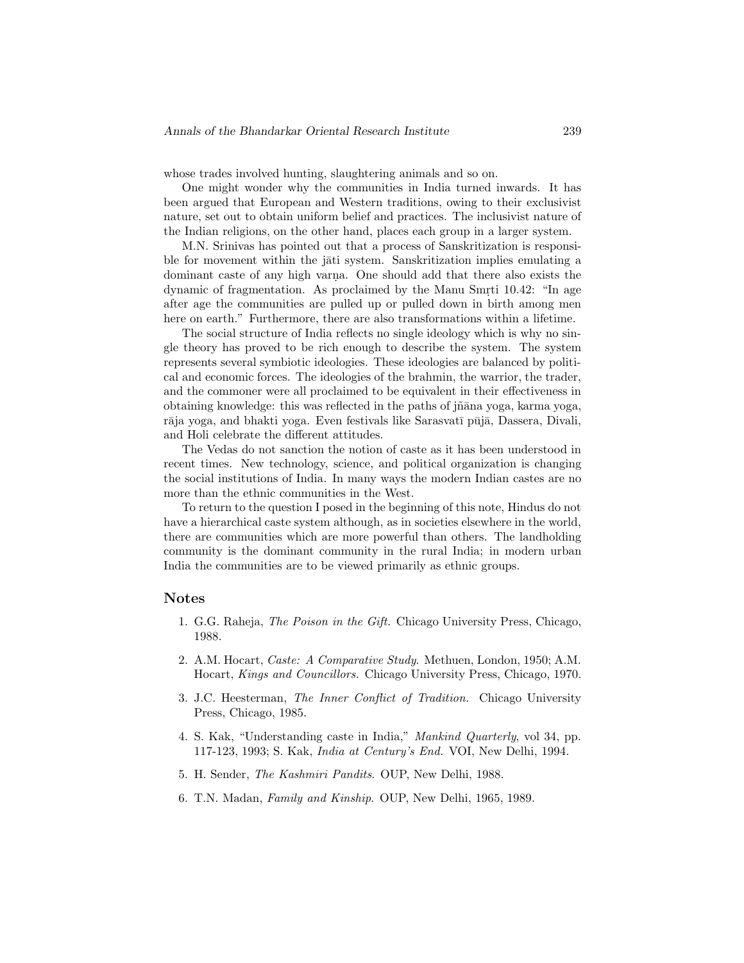whose trades involved hunting, slaughtering animals and so on.

One might wonder why the communities in India turned inwards. It has been argued that European and Western traditions, owing to their exclusivist nature, set out to obtain uniform belief and practices. The inclusivist nature of the Indian religions, on the other hand, places each group in a larger system.

M.N. Srinivas has pointed out that a process of Sanskritization is responsible for movement within the jāti system. Sanskritization implies emulating a dominant caste of any high varna. One should add that there also exists the dynamic of fragmentation. As proclaimed by the Manu Smrti 10.42: "In age after age the communities are pulled up or pulled down in birth among men here on earth." Furthermore, there are also transformations within a lifetime.

The social structure of India reflects no single ideology which is why no single theory has proved to be rich enough to describe the system. The system represents several symbiotic ideologies. These ideologies are balanced by political and economic forces. The ideologies of the brahmin, the warrior, the trader, and the commoner were all proclaimed to be equivalent in their effectiveness in obtaining knowledge: this was reflected in the paths of jñāna yoga, karma yoga, rāja yoga, and bhakti yoga. Even festivals like Sarasvatī pūjā, Dassera, Divali, and Holi celebrate the different attitudes.

The Vedas do not sanction the notion of caste as it has been understood in recent times. New technology, science, and political organization is changing the social institutions of India. In many ways the modern Indian castes are no more than the ethnic communities in the West.

To return to the question I posed in the beginning of this note, Hindus do not have a hierarchical caste system although, as in societies elsewhere in the world, there are communities which are more powerful than others. The landholding community is the dominant community in the rural India; in modern urban India the communities are to be viewed primarily as ethnic groups.

## **Notes**

- 1. G.G. Raheja, The Poison in the Gift. Chicago University Press, Chicago, 1988.
- 2. A.M. Hocart, Caste: A Comparative Study. Methuen, London, 1950; A.M. Hocart, Kings and Councillors. Chicago University Press, Chicago, 1970.
- 3. J.C. Heesterman, The Inner Conflict of Tradition. Chicago University Press, Chicago, 1985.
- 4. S. Kak, "Understanding caste in India," Mankind Quarterly, vol 34, pp. 117-123, 1993; S. Kak, India at Century's End. VOI, New Delhi, 1994.
- 5. H. Sender, The Kashmiri Pandits. OUP, New Delhi, 1988.
- 6. T.N. Madan, Family and Kinship. OUP, New Delhi, 1965, 1989.